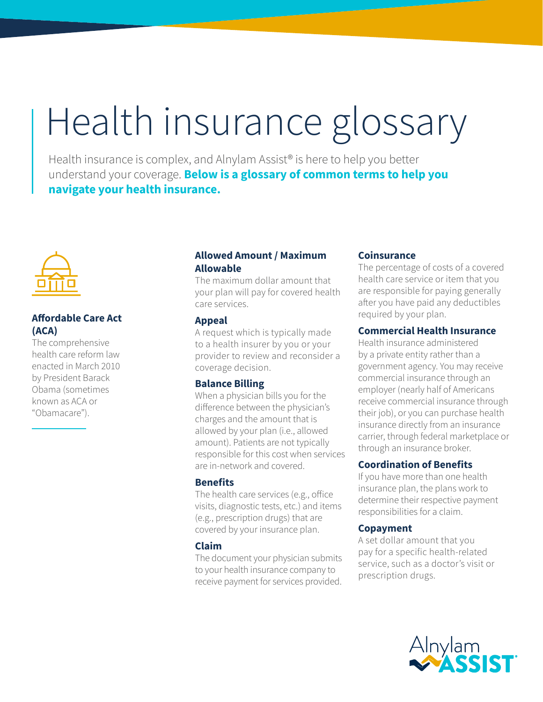# Health insurance glossary

Health insurance is complex, and Alnylam Assist<sup>®</sup> is here to help you better understand your coverage. **Below is a glossary of common terms to help you navigate your health insurance.**



## **Affordable Care Act (ACA)**

The comprehensive health care reform law enacted in March 2010 by President Barack Obama (sometimes known as ACA or "Obamacare").

## **Allowed Amount / Maximum Allowable**

The maximum dollar amount that your plan will pay for covered health care services.

#### **Appeal**

A request which is typically made to a health insurer by you or your provider to review and reconsider a coverage decision.

## **Balance Billing**

When a physician bills you for the difference between the physician's charges and the amount that is allowed by your plan (i.e., allowed amount). Patients are not typically responsible for this cost when services are in-network and covered.

## **Benefits**

The health care services (e.g., office visits, diagnostic tests, etc.) and items (e.g., prescription drugs) that are covered by your insurance plan.

## **Claim**

The document your physician submits to your health insurance company to receive payment for services provided.

## **Coinsurance**

The percentage of costs of a covered health care service or item that you are responsible for paying generally after you have paid any deductibles required by your plan.

## **Commercial Health Insurance**

Health insurance administered by a private entity rather than a government agency. You may receive commercial insurance through an employer (nearly half of Americans receive commercial insurance through their job), or you can purchase health insurance directly from an insurance carrier, through federal marketplace or through an insurance broker.

## **Coordination of Benefits**

If you have more than one health insurance plan, the plans work to determine their respective payment responsibilities for a claim.

## **Copayment**

A set dollar amount that you pay for a specific health-related service, such as a doctor's visit or prescription drugs.

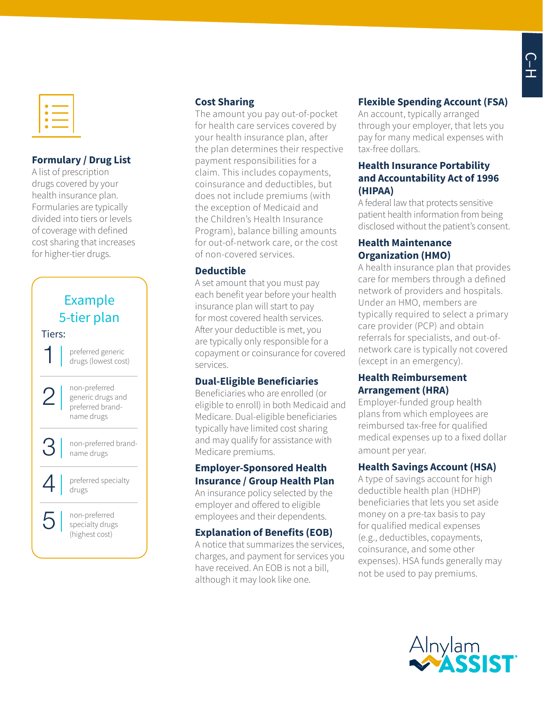

## **Formulary / Drug List**

A list of prescription drugs covered by your health insurance plan. Formularies are typically divided into tiers or levels of coverage with defined cost sharing that increases for higher-tier drugs.



## **Cost Sharing**

The amount you pay out-of-pocket for health care services covered by your health insurance plan, after the plan determines their respective payment responsibilities for a claim. This includes copayments, coinsurance and deductibles, but does not include premiums (with the exception of Medicaid and the Children's Health Insurance Program), balance billing amounts for out-of-network care, or the cost of non-covered services.

#### **Deductible**

A set amount that you must pay each benefit year before your health insurance plan will start to pay for most covered health services. After your deductible is met, you are typically only responsible for a copayment or coinsurance for covered services.

## **Dual-Eligible Beneficiaries**

Beneficiaries who are enrolled (or eligible to enroll) in both Medicaid and Medicare. Dual-eligible beneficiaries typically have limited cost sharing and may qualify for assistance with Medicare premiums.

#### **Employer-Sponsored Health Insurance / Group Health Plan**

An insurance policy selected by the employer and offered to eligible employees and their dependents.

## **Explanation of Benefits (EOB)**

A notice that summarizes the services, charges, and payment for services you have received. An EOB is not a bill, although it may look like one.

# **Flexible Spending Account (FSA)**

An account, typically arranged through your employer, that lets you pay for many medical expenses with tax-free dollars.

## **Health Insurance Portability and Accountability Act of 1996 (HIPAA)**

A federal law that protects sensitive patient health information from being disclosed without the patient's consent.

## **Health Maintenance Organization (HMO)**

A health insurance plan that provides care for members through a defined network of providers and hospitals. Under an HMO, members are typically required to select a primary care provider (PCP) and obtain referrals for specialists, and out-ofnetwork care is typically not covered (except in an emergency).

## **Health Reimbursement Arrangement (HRA)**

Employer-funded group health plans from which employees are reimbursed tax-free for qualified medical expenses up to a fixed dollar amount per year.

## **Health Savings Account (HSA)**

A type of savings account for high deductible health plan (HDHP) beneficiaries that lets you set aside money on a pre-tax basis to pay for qualified medical expenses (e.g., deductibles, copayments, coinsurance, and some other expenses). HSA funds generally may not be used to pay premiums.

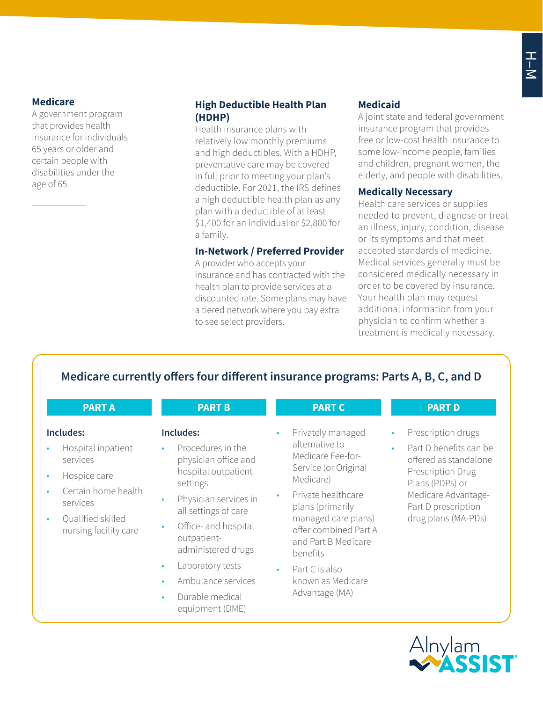## **Medicare**

A government program that provides health insurance for individuals 65 years or older and certain people with disabilities under the age of 65.

## **High Deductible Health Plan (HDHP)**

Health insurance plans with relatively low monthly premiums and high deductibles. With a HDHP, preventative care may be covered in full prior to meeting your plan's deductible. For 2021, the IRS defines a high deductible health plan as any plan with a deductible of at least \$1,400 for an individual or \$2,800 for a family.

#### **In-Network / Preferred Provider**

A provider who accepts your insurance and has contracted with the health plan to provide services at a discounted rate. Some plans may have a tiered network where you pay extra to see select providers.

# **Medicaid**

A joint state and federal government insurance program that provides free or low-cost health insurance to some low-income people, families and children, pregnant women, the elderly, and people with disabilities.

## **Medically Necessary**

Health care services or supplies needed to prevent, diagnose or treat an illness, injury, condition, disease or its symptoms and that meet accepted standards of medicine. Medical services generally must be considered medically necessary in order to be covered by insurance. Your health plan may request additional information from your physician to confirm whether a treatment is medically necessary.

# **Medicare currently offers four different insurance programs: Parts A, B, C, and D**

| <b>PART A</b>                                                                                                                                | <b>PART B</b>                                                                                                                                                                                                                                                                                                                                                         | <b>PART C</b>                                                                                                                                                                                                                                                                                    | <b>PART D</b>                                                                                                                                                                                                |
|----------------------------------------------------------------------------------------------------------------------------------------------|-----------------------------------------------------------------------------------------------------------------------------------------------------------------------------------------------------------------------------------------------------------------------------------------------------------------------------------------------------------------------|--------------------------------------------------------------------------------------------------------------------------------------------------------------------------------------------------------------------------------------------------------------------------------------------------|--------------------------------------------------------------------------------------------------------------------------------------------------------------------------------------------------------------|
| Includes:<br>Hospital inpatient<br>services<br>Hospice care<br>Certain home health<br>services<br>Qualified skilled<br>nursing facility care | Includes:<br>Procedures in the<br>$\bullet$<br>physician office and<br>hospital outpatient<br>settings<br>Physician services in<br>$\bullet$<br>all settings of care<br>Office- and hospital<br>$\bullet$<br>outpatient-<br>administered drugs<br>Laboratory tests<br>$\bullet$<br>Ambulance services<br>$\bullet$<br>Durable medical<br>$\bullet$<br>equipment (DME) | Privately managed<br>$\bullet$<br>alternative to<br>Medicare Fee-for-<br>Service (or Original<br>Medicare)<br>Private healthcare<br>plans (primarily<br>managed care plans)<br>offer combined Part A<br>and Part B Medicare<br>benefits<br>Part C is also<br>known as Medicare<br>Advantage (MA) | Prescription drugs<br>$\bullet$<br>Part D benefits can be<br>$\bullet$<br>offered as standalone<br>Prescription Drug<br>Plans (PDPs) or<br>Medicare Advantage-<br>Part D prescription<br>drug plans (MA-PDs) |

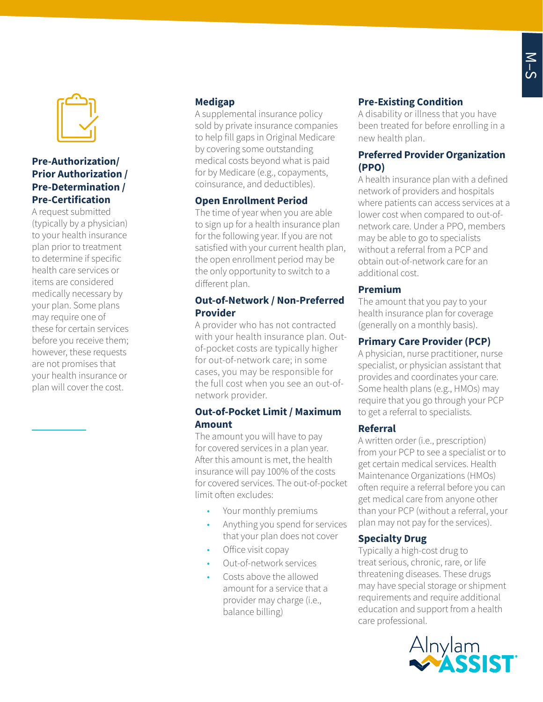

## **Pre-Authorization/ Prior Authorization / Pre-Determination / Pre-Certification**

A request submitted (typically by a physician) to your health insurance plan prior to treatment to determine if specific health care services or items are considered medically necessary by your plan. Some plans may require one of these for certain services before you receive them; however, these requests are not promises that your health insurance or plan will cover the cost.

## **Medigap**

A supplemental insurance policy sold by private insurance companies to help fill gaps in Original Medicare by covering some outstanding medical costs beyond what is paid for by Medicare (e.g., copayments, coinsurance, and deductibles).

## **Open Enrollment Period**

The time of year when you are able to sign up for a health insurance plan for the following year. If you are not satisfied with your current health plan, the open enrollment period may be the only opportunity to switch to a different plan.

## **Out-of-Network / Non-Preferred Provider**

A provider who has not contracted with your health insurance plan. Outof-pocket costs are typically higher for out-of-network care; in some cases, you may be responsible for the full cost when you see an out-ofnetwork provider.

#### **Out-of-Pocket Limit / Maximum Amount**

The amount you will have to pay for covered services in a plan year. After this amount is met, the health insurance will pay 100% of the costs for covered services. The out-of-pocket limit often excludes:

- Your monthly premiums
- Anything you spend for services that your plan does not cover
- Office visit copay
- Out-of-network services
- Costs above the allowed amount for a service that a provider may charge (i.e., balance billing)

## **Pre-Existing Condition**

A disability or illness that you have been treated for before enrolling in a new health plan.

## **Preferred Provider Organization (PPO)**

A health insurance plan with a defined network of providers and hospitals where patients can access services at a lower cost when compared to out-ofnetwork care. Under a PPO, members may be able to go to specialists without a referral from a PCP and obtain out-of-network care for an additional cost.

### **Premium**

The amount that you pay to your health insurance plan for coverage (generally on a monthly basis).

## **Primary Care Provider (PCP)**

A physician, nurse practitioner, nurse specialist, or physician assistant that provides and coordinates your care. Some health plans (e.g., HMOs) may require that you go through your PCP to get a referral to specialists.

## **Referral**

A written order (i.e., prescription) from your PCP to see a specialist or to get certain medical services. Health Maintenance Organizations (HMOs) often require a referral before you can get medical care from anyone other than your PCP (without a referral, your plan may not pay for the services).

## **Specialty Drug**

Typically a high-cost drug to treat serious, chronic, rare, or life threatening diseases. These drugs may have special storage or shipment requirements and require additional education and support from a health care professional.

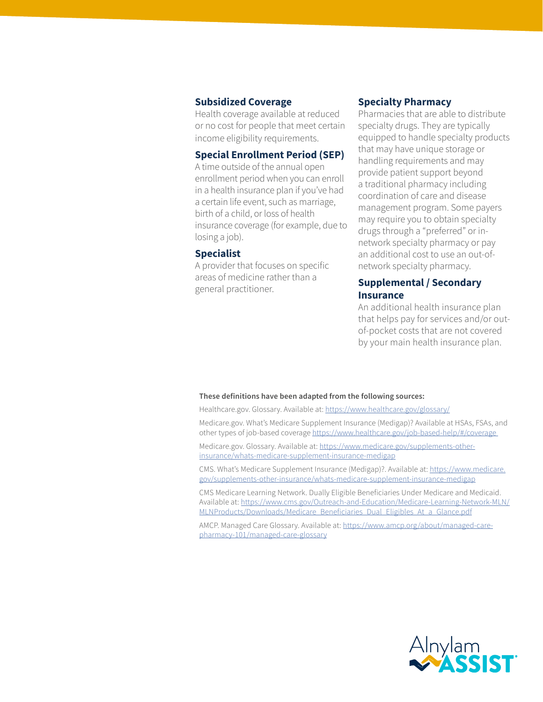#### **Subsidized Coverage**

Health coverage available at reduced or no cost for people that meet certain income eligibility requirements.

#### **Special Enrollment Period (SEP)**

A time outside of the annual open enrollment period when you can enroll in a health insurance plan if you've had a certain life event, such as marriage, birth of a child, or loss of health insurance coverage (for example, due to losing a job).

#### **Specialist**

A provider that focuses on specific areas of medicine rather than a general practitioner.

#### **Specialty Pharmacy**

Pharmacies that are able to distribute specialty drugs. They are typically equipped to handle specialty products that may have unique storage or handling requirements and may provide patient support beyond a traditional pharmacy including coordination of care and disease management program. Some payers may require you to obtain specialty drugs through a "preferred" or innetwork specialty pharmacy or pay an additional cost to use an out-ofnetwork specialty pharmacy.

### **Supplemental / Secondary Insurance**

An additional health insurance plan that helps pay for services and/or outof-pocket costs that are not covered by your main health insurance plan.

#### **These definitions have been adapted from the following sources:**

Healthcare.gov. Glossary. Available at: [https://www.healthcare.gov/glossary/](https://www.healthcare.gov/glossary)

Medicare.gov. What's Medicare Supplement Insurance (Medigap)? Available at HSAs, FSAs, and other types of job-based coverage <https://www.healthcare.gov/job-based-help/#/coverage>

Medicare.gov. Glossary. Available at: [https://www.medicare.gov/supplements-other](https://www.medicare.gov/supplements-other-insurance/whats-medicare-supplement-insurance-medigap)[insurance/whats-medicare-supplement-insurance-medigap](https://www.medicare.gov/supplements-other-insurance/whats-medicare-supplement-insurance-medigap)

CMS. What's Medicare Supplement Insurance (Medigap)?. Available at: [https://www.medicare.](https://www.medicare.gov/supplements-other-insurance/whats-medicare-supplement-insurance-medigap) [gov/supplements-other-insurance/whats-medicare-supplement-insurance-medigap](https://www.medicare.gov/supplements-other-insurance/whats-medicare-supplement-insurance-medigap)

CMS Medicare Learning Network. Dually Eligible Beneficiaries Under Medicare and Medicaid. Available at: [https://www.cms.gov/Outreach-and-Education/Medicare-Learning-Network-MLN/](https://www.cms.gov/Outreach-and-Education/Medicare-Learning-Network-MLN/MLNProducts/Downloads/Medicare_Beneficiaries_Dual_Eligibles_At_a_Glance.pdf) [MLNProducts/Downloads/Medicare\\_Beneficiaries\\_Dual\\_Eligibles\\_At\\_a\\_Glance.pdf](https://www.cms.gov/Outreach-and-Education/Medicare-Learning-Network-MLN/MLNProducts/Downloads/Medicare_Beneficiaries_Dual_Eligibles_At_a_Glance.pdf)

AMCP. Managed Care Glossary. Available at: [https://www.amcp.org/about/managed-care](https://www.amcp.org/about/managed-care-pharmacy-101/managed-care-glossary)[pharmacy-101/managed-care-glossary](https://www.amcp.org/about/managed-care-pharmacy-101/managed-care-glossary)